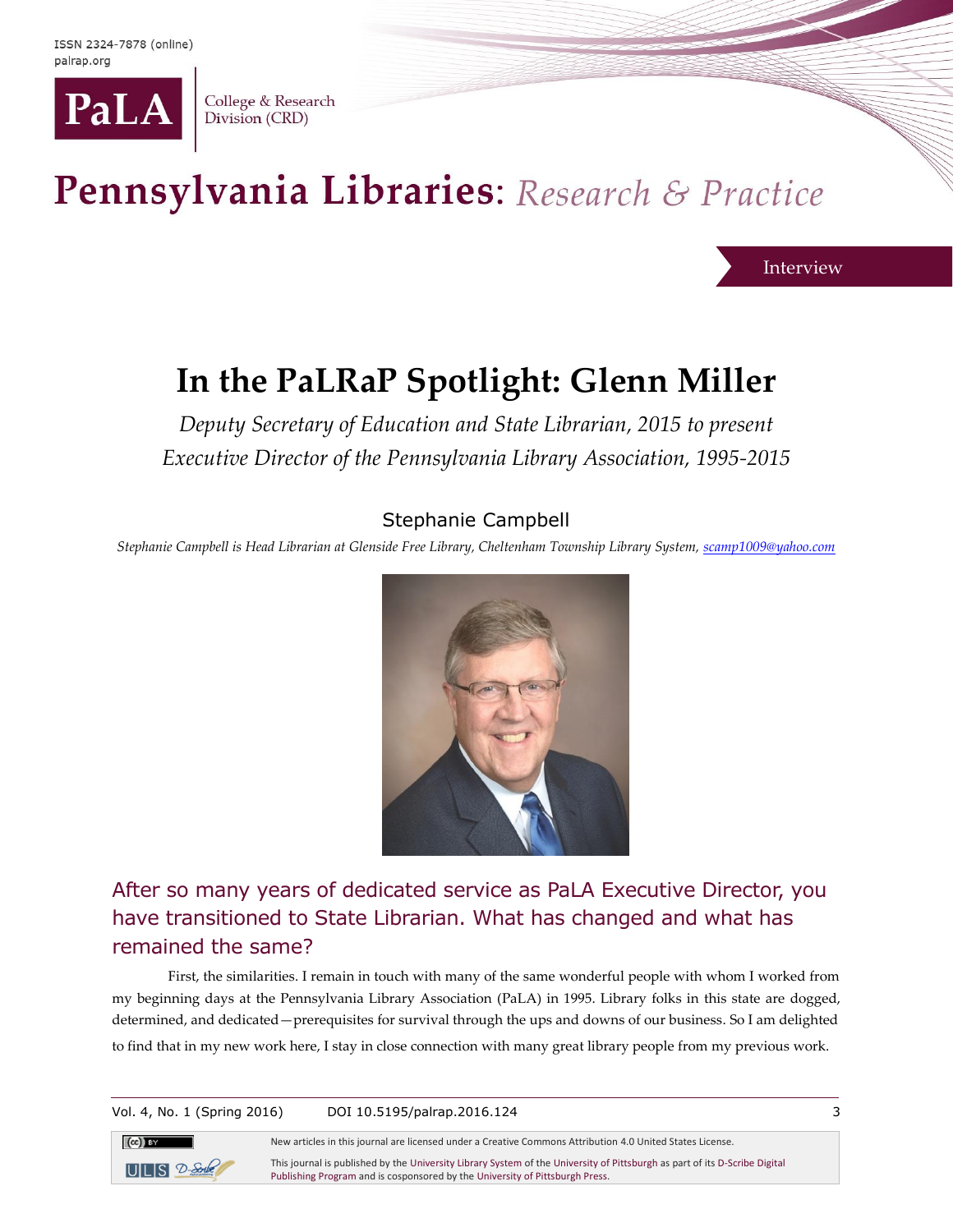

College & Research Division (CRD)

# Pennsylvania Libraries: Research & Practice

Interview

## **In the PaLRaP Spotlight: Glenn Miller**

*Deputy Secretary of Education and State Librarian, 2015 to present Executive Director of the Pennsylvania Library Association, 1995-2015*

### Stephanie Campbell

*Stephanie Campbell is Head Librarian at Glenside Free Library, Cheltenham Township Library System, scamp1009@yahoo.com*



After so many years of dedicated service as PaLA Executive Director, you have transitioned to State Librarian. What has changed and what has remained the same?

First, the similarities. I remain in touch with many of the same wonderful people with whom I worked from my beginning days at the Pennsylvania Library Association (PaLA) in 1995. Library folks in this state are dogged, determined, and dedicated—prerequisites for survival through the ups and downs of our business. So I am delighted to find that in my new work here, I stay in close connection with many great library people from my previous work.

Vol. 4, No. 1 (Spring 2016) DOI 10.5195/palrap.2016.124 3



New articles in this journal are licensed under a Creative Commons Attribution 4.0 United States License.

This journal is published by th[e University Library System](http://www.library.pitt.edu/) of th[e University of Pittsburgh](http://www.pitt.edu/) as part of it[s D-Scribe Digital](http://www.library.pitt.edu/d-scribe-digital-collections)  [Publishing Program](http://www.library.pitt.edu/d-scribe-digital-collections) and is cosponsored by th[e University of Pittsburgh Press.](http://upress.pitt.edu/)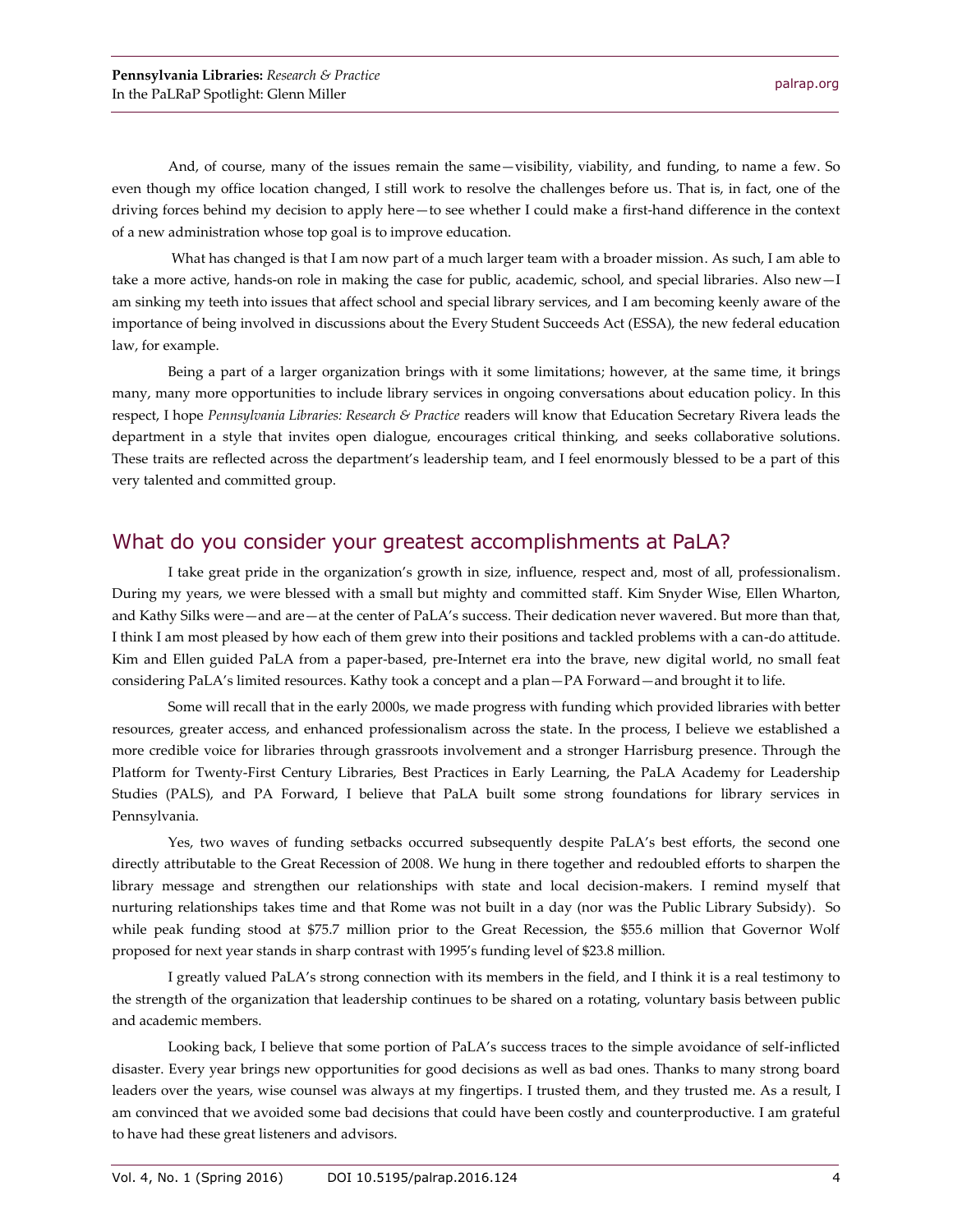And, of course, many of the issues remain the same—visibility, viability, and funding, to name a few. So even though my office location changed, I still work to resolve the challenges before us. That is, in fact, one of the driving forces behind my decision to apply here—to see whether I could make a first-hand difference in the context of a new administration whose top goal is to improve education.

What has changed is that I am now part of a much larger team with a broader mission. As such, I am able to take a more active, hands-on role in making the case for public, academic, school, and special libraries. Also new—I am sinking my teeth into issues that affect school and special library services, and I am becoming keenly aware of the importance of being involved in discussions about the Every Student Succeeds Act (ESSA), the new federal education law, for example.

Being a part of a larger organization brings with it some limitations; however, at the same time, it brings many, many more opportunities to include library services in ongoing conversations about education policy. In this respect, I hope *Pennsylvania Libraries: Research & Practice* readers will know that Education Secretary Rivera leads the department in a style that invites open dialogue, encourages critical thinking, and seeks collaborative solutions. These traits are reflected across the department's leadership team, and I feel enormously blessed to be a part of this very talented and committed group.

#### What do you consider your greatest accomplishments at PaLA?

I take great pride in the organization's growth in size, influence, respect and, most of all, professionalism. During my years, we were blessed with a small but mighty and committed staff. Kim Snyder Wise, Ellen Wharton, and Kathy Silks were—and are—at the center of PaLA's success. Their dedication never wavered. But more than that, I think I am most pleased by how each of them grew into their positions and tackled problems with a can-do attitude. Kim and Ellen guided PaLA from a paper-based, pre-Internet era into the brave, new digital world, no small feat considering PaLA's limited resources. Kathy took a concept and a plan—PA Forward—and brought it to life.

Some will recall that in the early 2000s, we made progress with funding which provided libraries with better resources, greater access, and enhanced professionalism across the state. In the process, I believe we established a more credible voice for libraries through grassroots involvement and a stronger Harrisburg presence. Through the Platform for Twenty-First Century Libraries, Best Practices in Early Learning, the PaLA Academy for Leadership Studies (PALS), and PA Forward, I believe that PaLA built some strong foundations for library services in Pennsylvania.

Yes, two waves of funding setbacks occurred subsequently despite PaLA's best efforts, the second one directly attributable to the Great Recession of 2008. We hung in there together and redoubled efforts to sharpen the library message and strengthen our relationships with state and local decision-makers. I remind myself that nurturing relationships takes time and that Rome was not built in a day (nor was the Public Library Subsidy). So while peak funding stood at \$75.7 million prior to the Great Recession, the \$55.6 million that Governor Wolf proposed for next year stands in sharp contrast with 1995's funding level of \$23.8 million.

I greatly valued PaLA's strong connection with its members in the field, and I think it is a real testimony to the strength of the organization that leadership continues to be shared on a rotating, voluntary basis between public and academic members.

Looking back, I believe that some portion of PaLA's success traces to the simple avoidance of self-inflicted disaster. Every year brings new opportunities for good decisions as well as bad ones. Thanks to many strong board leaders over the years, wise counsel was always at my fingertips. I trusted them, and they trusted me. As a result, I am convinced that we avoided some bad decisions that could have been costly and counterproductive. I am grateful to have had these great listeners and advisors.